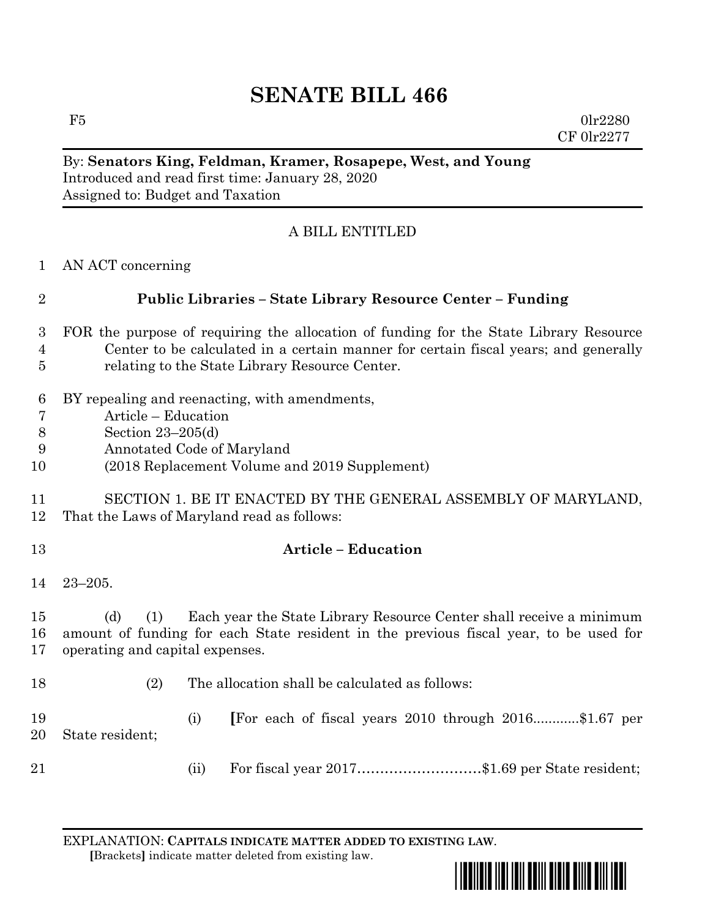## **SENATE BILL 466**

 $F5$  0lr2280 CF 0lr2277

## By: **Senators King, Feldman, Kramer, Rosapepe, West, and Young** Introduced and read first time: January 28, 2020 Assigned to: Budget and Taxation

## A BILL ENTITLED

AN ACT concerning

## **Public Libraries – State Library Resource Center – Funding**

- FOR the purpose of requiring the allocation of funding for the State Library Resource Center to be calculated in a certain manner for certain fiscal years; and generally relating to the State Library Resource Center.
- BY repealing and reenacting, with amendments,
- Article Education
- Section 23–205(d)
- Annotated Code of Maryland
- (2018 Replacement Volume and 2019 Supplement)
- SECTION 1. BE IT ENACTED BY THE GENERAL ASSEMBLY OF MARYLAND, That the Laws of Maryland read as follows:
- **Article – Education**
- 23–205.

 (d) (1) Each year the State Library Resource Center shall receive a minimum amount of funding for each State resident in the previous fiscal year, to be used for operating and capital expenses.

- (2) The allocation shall be calculated as follows:
- (i) **[**For each of fiscal years 2010 through 2016............\$1.67 per State resident;
- 21 (ii) For fiscal year 2017……………………………\$1.69 per State resident;

EXPLANATION: **CAPITALS INDICATE MATTER ADDED TO EXISTING LAW**.  **[**Brackets**]** indicate matter deleted from existing law.